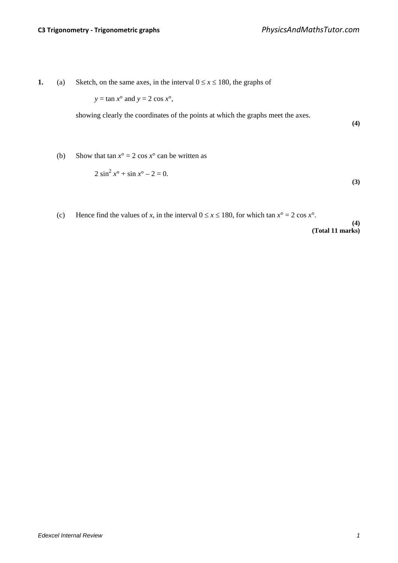**1.** (a) Sketch, on the same axes, in the interval  $0 \le x \le 180$ , the graphs of

 $y = \tan x^\circ$  and  $y = 2 \cos x^\circ$ ,

showing clearly the coordinates of the points at which the graphs meet the axes.

**(4)**

(b) Show that tan  $x^\circ = 2 \cos x^\circ$  can be written as

$$
2\sin^2 x^\circ + \sin x^\circ - 2 = 0.
$$
 (3)

(c) Hence find the values of *x*, in the interval  $0 \le x \le 180$ , for which tan  $x^\circ = 2 \cos x^\circ$ .

**(4) (Total 11 marks)**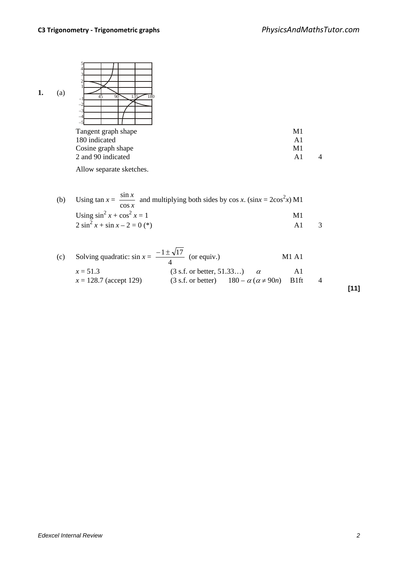

| Tangent graph shape | M1 |  |
|---------------------|----|--|
| 180 indicated       | A1 |  |
| Cosine graph shape  | M1 |  |
| 2 and 90 indicated  | A1 |  |
|                     |    |  |

Allow separate sketches.

| (b) | Using $\tan x = \frac{\sin x}{x}$ and multiplying both sides by $\cos x$ . $(\sin x = 2\cos^2 x)$ M1<br>$\cos x$ |            |  |
|-----|------------------------------------------------------------------------------------------------------------------|------------|--|
|     | Using $\sin^2 x + \cos^2 x = 1$                                                                                  | M1         |  |
|     | $2 \sin^2 x + \sin x - 2 = 0$ (*)                                                                                | $\Delta$ 1 |  |

| (c) Solving quadratic: $\sin x = \frac{-1 \pm \sqrt{17}}{4}$ (or equiv.) |                                      |                                                            | M1 A1 |  |
|--------------------------------------------------------------------------|--------------------------------------|------------------------------------------------------------|-------|--|
| $x = 51.3$<br>$x = 128.7$ (accept 129)                                   | $(3 s.f. or better, 51.33)$ $\alpha$ | $(3 s.f. or better)$ $180 - \alpha (\alpha \neq 90n)$ B1ft | AI    |  |
|                                                                          |                                      |                                                            |       |  |

**[11]**